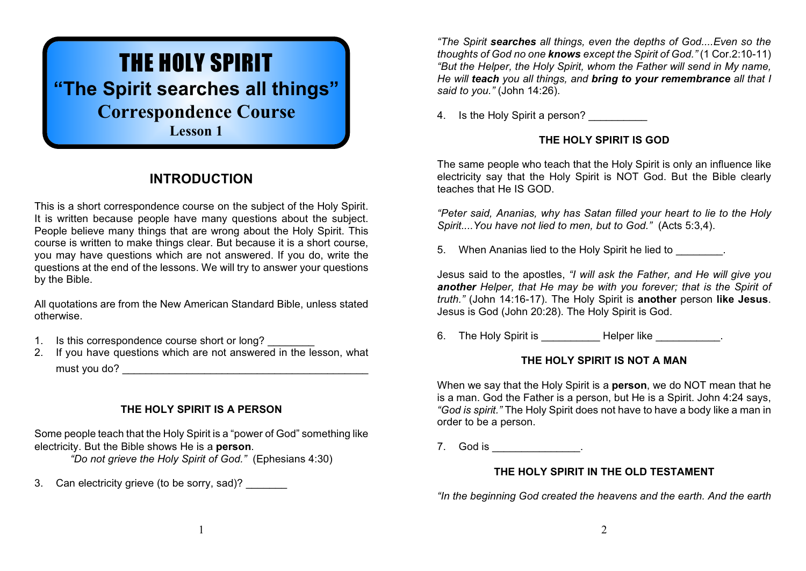# THE HOLY SPIRIT **"The Spirit searches all things" Correspondence Course Lesson 1**

# **INTRODUCTION**

This is a short correspondence course on the subject of the Holy Spirit. It is written because people have many questions about the subject. People believe many things that are wrong about the Holy Spirit. This course is written to make things clear. But because it is a short course, you may have questions which are not answered. If you do, write the questions at the end of the lessons. We will try to answer your questions by the Bible.

All quotations are from the New American Standard Bible, unless stated otherwise.

- 1. Is this correspondence course short or long?
- 2. If you have questions which are not answered in the lesson, what must you do?

# **THE HOLY SPIRIT IS A PERSON**

Some people teach that the Holy Spirit is a "power of God" something like electricity. But the Bible shows He is a **person**.

*"Do not grieve the Holy Spirit of God."* (Ephesians 4:30)

3. Can electricity grieve (to be sorry, sad)?

*"The Spirit searches all things, even the depths of God....Even so the thoughts of God no one knows except the Spirit of God."* (1 Cor.2:10-11) *"But the Helper, the Holy Spirit, whom the Father will send in My name, He will teach you all things, and bring to your remembrance all that I said to you."* (John 14:26).

4. Is the Holy Spirit a person?

# **THE HOLY SPIRIT IS GOD**

The same people who teach that the Holy Spirit is only an influence like electricity say that the Holy Spirit is NOT God. But the Bible clearly teaches that He IS GOD.

*"Peter said, Ananias, why has Satan filled your heart to lie to the Holy Spirit....You have not lied to men, but to God."* (Acts 5:3,4).

5. When Ananias lied to the Holy Spirit he lied to  $\qquad \qquad$ .

Jesus said to the apostles, *"I will ask the Father, and He will give you another Helper, that He may be with you forever; that is the Spirit of truth."* (John 14:16-17). The Holy Spirit is **another** person **like Jesus**. Jesus is God (John 20:28). The Holy Spirit is God.

6. The Holy Spirit is **Example 20 Helper like** 2011.

# **THE HOLY SPIRIT IS NOT A MAN**

When we say that the Holy Spirit is a **person**, we do NOT mean that he is a man. God the Father is a person, but He is a Spirit. John 4:24 says, *"God is spirit."* The Holy Spirit does not have to have a body like a man in order to be a person.

7. God is \_\_\_\_\_\_\_\_\_\_\_\_\_\_\_.

# **THE HOLY SPIRIT IN THE OLD TESTAMENT**

*"In the beginning God created the heavens and the earth. And the earth*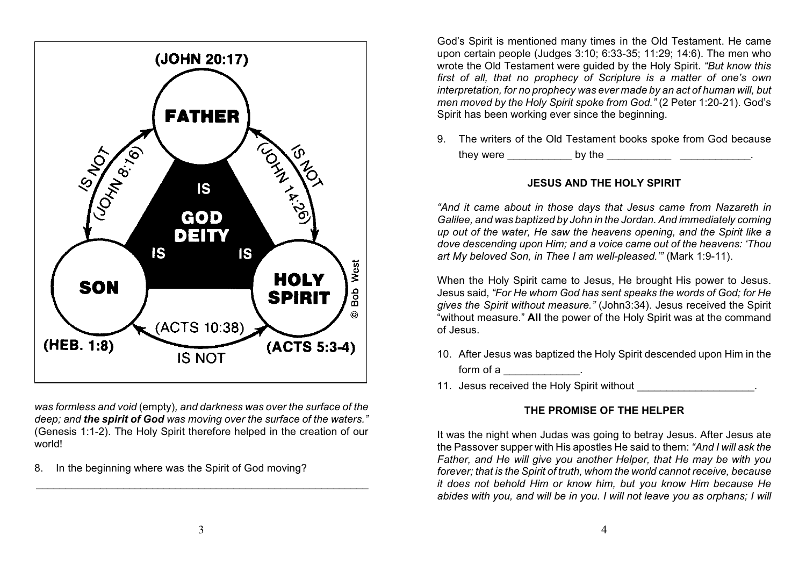

*was formless and void* (empty)*, and darkness was over the surface of the deep; and the spirit of God was moving over the surface of the waters."* (Genesis 1:1-2). The Holy Spirit therefore helped in the creation of our world!

8. In the beginning where was the Spirit of God moving?

God's Spirit is mentioned many times in the Old Testament. He came upon certain people (Judges 3:10; 6:33-35; 11:29; 14:6). The men who wrote the Old Testament were guided by the Holy Spirit. *"But know this first of all, that no prophecy of Scripture is a matter of one's own interpretation, for no prophecy was ever made by an act of human will, but men moved by the Holy Spirit spoke from God."* (2 Peter 1:20-21). God's Spirit has been working ever since the beginning.

9. The writers of the Old Testament books spoke from God because

they were example by the the set of the set of the set of the set of the set of the set of the set of the set o

# **JESUS AND THE HOLY SPIRIT**

*"And it came about in those days that Jesus came from Nazareth in Galilee, and was baptized by John in the Jordan. And immediately coming up out of the water, He saw the heavens opening, and the Spirit like a dove descending upon Him; and a voice came out of the heavens: 'Thou art My beloved Son, in Thee I am well-pleased.'"* (Mark 1:9-11).

When the Holy Spirit came to Jesus, He brought His power to Jesus. Jesus said, *"For He whom God has sent speaks the words of God; for He gives the Spirit without measure."* (John3:34). Jesus received the Spirit "without measure." **All** the power of the Holy Spirit was at the command of Jesus.

- 10. After Jesus was baptized the Holy Spirit descended upon Him in the form of a  $\qquad \qquad \ldots \qquad \ldots$
- 11. Jesus received the Holy Spirit without

# **THE PROMISE OF THE HELPER**

It was the night when Judas was going to betray Jesus. After Jesus ate the Passover supper with His apostles He said to them: *"And I will ask the Father, and He will give you another Helper, that He may be with you forever; that is the Spirit of truth, whom the world cannot receive, because it does not behold Him or know him, but you know Him because He abides with you, and will be in you. I will not leave you as orphans; I will*

 $\frac{1}{2}$  ,  $\frac{1}{2}$  ,  $\frac{1}{2}$  ,  $\frac{1}{2}$  ,  $\frac{1}{2}$  ,  $\frac{1}{2}$  ,  $\frac{1}{2}$  ,  $\frac{1}{2}$  ,  $\frac{1}{2}$  ,  $\frac{1}{2}$  ,  $\frac{1}{2}$  ,  $\frac{1}{2}$  ,  $\frac{1}{2}$  ,  $\frac{1}{2}$  ,  $\frac{1}{2}$  ,  $\frac{1}{2}$  ,  $\frac{1}{2}$  ,  $\frac{1}{2}$  ,  $\frac{1$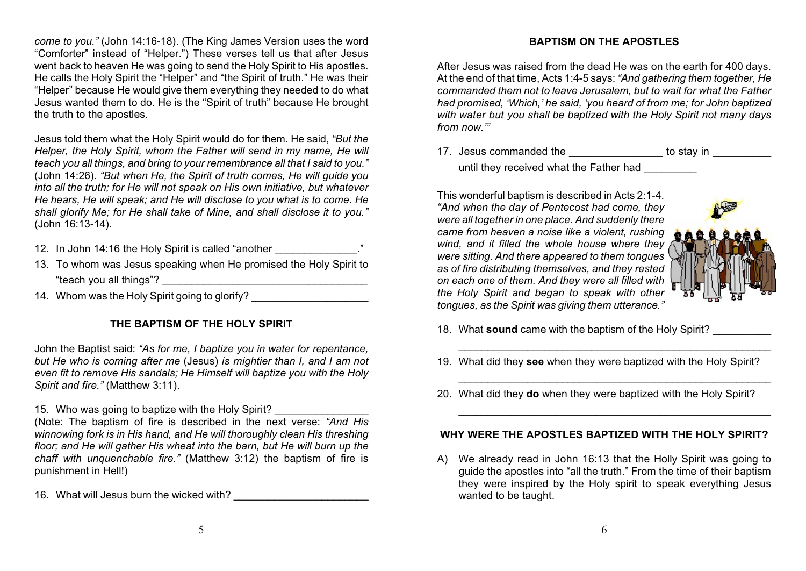*come to you."* (John 14:16-18). (The King James Version uses the word "Comforter" instead of "Helper.") These verses tell us that after Jesus went back to heaven He was going to send the Holy Spirit to His apostles. He calls the Holy Spirit the "Helper" and "the Spirit of truth." He was their "Helper" because He would give them everything they needed to do what Jesus wanted them to do. He is the "Spirit of truth" because He brought the truth to the apostles.

Jesus told them what the Holy Spirit would do for them. He said, *"But the Helper, the Holy Spirit, whom the Father will send in my name, He will teach you all things, and bring to your remembrance all that I said to you."* (John 14:26). *"But when He, the Spirit of truth comes, He will guide you into all the truth; for He will not speak on His own initiative, but whatever He hears, He will speak; and He will disclose to you what is to come. He shall glorify Me; for He shall take of Mine, and shall disclose it to you."* (John 16:13-14).

- 12. In John 14:16 the Holy Spirit is called "another  $\ddot{\hspace{1cm}}$ "
- 13. To whom was Jesus speaking when He promised the Holy Spirit to "teach you all things"? \_\_\_\_\_\_\_\_\_\_\_\_\_\_\_\_\_\_\_\_\_\_\_\_\_\_\_\_\_\_\_\_\_\_\_
- 14. Whom was the Holy Spirit going to glorify?

#### **THE BAPTISM OF THE HOLY SPIRIT**

John the Baptist said: *"As for me, I baptize you in water for repentance, but He who is coming after me* (Jesus) *is mightier than I, and I am not even fit to remove His sandals; He Himself will baptize you with the Holy Spirit and fire."* (Matthew 3:11).

15. Who was going to baptize with the Holy Spirit?

(Note: The baptism of fire is described in the next verse: *"And His winnowing fork is in His hand, and He will thoroughly clean His threshing floor; and He will gather His wheat into the barn, but He will burn up the chaff with unquenchable fire."* (Matthew 3:12) the baptism of fire is punishment in Hell!)

16. What will Jesus burn the wicked with?

#### **BAPTISM ON THE APOSTLES**

After Jesus was raised from the dead He was on the earth for 400 days. At the end of that time, Acts 1:4-5 says: *"And gathering them together, He commanded them not to leave Jerusalem, but to wait for what the Father had promised, 'Which,' he said, 'you heard of from me; for John baptized with water but you shall be baptized with the Holy Spirit not many days from now.'"*

17. Jesus commanded the the to stay in the stay in  $\sim$ until they received what the Father had

This wonderful baptism is described in Acts 2:1-4. *"And when the day of Pentecost had come, they were all together in one place. And suddenly there came from heaven a noise like a violent, rushing wind, and it filled the whole house where they were sitting. And there appeared to them tongues as of fire distributing themselves, and they rested on each one of them. And they were all filled with the Holy Spirit and began to speak with other tongues, as the Spirit was giving them utterance."*



- 18. What **sound** came with the baptism of the Holy Spirit? \_\_\_\_\_\_\_\_\_\_
- 19. What did they **see** when they were baptized with the Holy Spirit?

\_\_\_\_\_\_\_\_\_\_\_\_\_\_\_\_\_\_\_\_\_\_\_\_\_\_\_\_\_\_\_\_\_\_\_\_\_\_\_\_\_\_\_\_\_\_\_\_\_\_\_\_\_\_

\_\_\_\_\_\_\_\_\_\_\_\_\_\_\_\_\_\_\_\_\_\_\_\_\_\_\_\_\_\_\_\_\_\_\_\_\_\_\_\_\_\_\_\_\_\_\_\_\_\_\_\_\_\_

\_\_\_\_\_\_\_\_\_\_\_\_\_\_\_\_\_\_\_\_\_\_\_\_\_\_\_\_\_\_\_\_\_\_\_\_\_\_\_\_\_\_\_\_\_\_\_\_\_\_\_\_\_\_

20. What did they **do** when they were baptized with the Holy Spirit?

#### **WHY WERE THE APOSTLES BAPTIZED WITH THE HOLY SPIRIT?**

A) We already read in John 16:13 that the Holly Spirit was going to guide the apostles into "all the truth." From the time of their baptism they were inspired by the Holy spirit to speak everything Jesus wanted to be taught.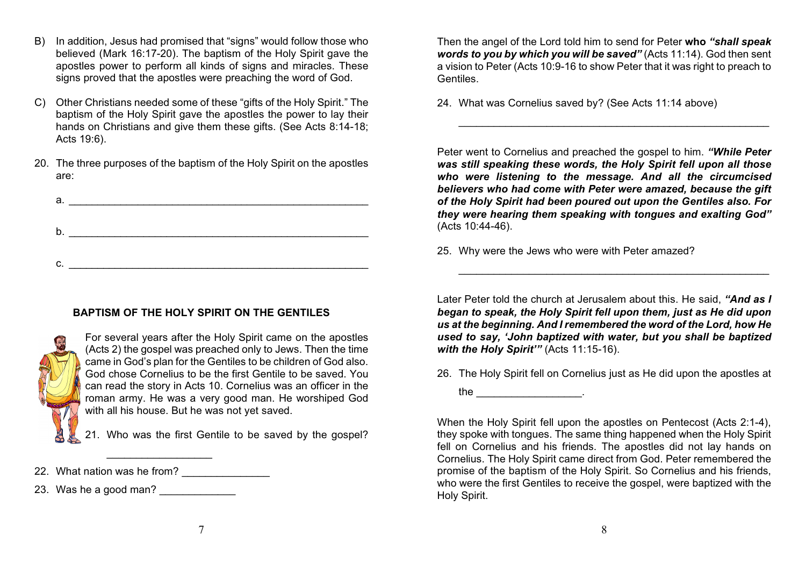- B) In addition, Jesus had promised that "signs" would follow those who believed (Mark 16:17-20). The baptism of the Holy Spirit gave the apostles power to perform all kinds of signs and miracles. These signs proved that the apostles were preaching the word of God.
- C) Other Christians needed some of these "gifts of the Holy Spirit." The baptism of the Holy Spirit gave the apostles the power to lay their hands on Christians and give them these gifts. (See Acts 8:14-18; Acts 19:6).
- 20. The three purposes of the baptism of the Holy Spirit on the apostles are:

| а. |  |  |
|----|--|--|
|    |  |  |
| b. |  |  |
|    |  |  |
| С. |  |  |

# **BAPTISM OF THE HOLY SPIRIT ON THE GENTILES**



For several years after the Holy Spirit came on the apostles (Acts 2) the gospel was preached only to Jews. Then the time came in God's plan for the Gentiles to be children of God also. God chose Cornelius to be the first Gentile to be saved. You can read the story in Acts 10. Cornelius was an officer in the roman army. He was a very good man. He worshiped God with all his house. But he was not yet saved.

21. Who was the first Gentile to be saved by the gospel?

23. Was he a good man?

Then the angel of the Lord told him to send for Peter **who** *"shall speak words to you by which you will be saved"* (Acts 11:14). God then sent a vision to Peter (Acts 10:9-16 to show Peter that it was right to preach to Gentiles.

\_\_\_\_\_\_\_\_\_\_\_\_\_\_\_\_\_\_\_\_\_\_\_\_\_\_\_\_\_\_\_\_\_\_\_\_\_\_\_\_\_\_\_\_\_\_\_\_\_\_\_\_\_

24. What was Cornelius saved by? (See Acts 11:14 above)

Peter went to Cornelius and preached the gospel to him. *"While Peter was still speaking these words, the Holy Spirit fell upon all those who were listening to the message. And all the circumcised believers who had come with Peter were amazed, because the gift of the Holy Spirit had been poured out upon the Gentiles also. For they were hearing them speaking with tongues and exalting God"* (Acts 10:44-46).

25. Why were the Jews who were with Peter amazed?

Later Peter told the church at Jerusalem about this. He said, *"And as I began to speak, the Holy Spirit fell upon them, just as He did upon us at the beginning. And I remembered the word of the Lord, how He used to say, 'John baptized with water, but you shall be baptized with the Holy Spirit'"* (Acts 11:15-16).

\_\_\_\_\_\_\_\_\_\_\_\_\_\_\_\_\_\_\_\_\_\_\_\_\_\_\_\_\_\_\_\_\_\_\_\_\_\_\_\_\_\_\_\_\_\_\_\_\_\_\_\_\_

26. The Holy Spirit fell on Cornelius just as He did upon the apostles at

the \_\_\_\_\_\_\_\_\_\_\_\_\_\_\_\_\_\_\_\_\_\_\_\_\_.

When the Holy Spirit fell upon the apostles on Pentecost (Acts 2:1-4), they spoke with tongues. The same thing happened when the Holy Spirit fell on Cornelius and his friends. The apostles did not lay hands on Cornelius. The Holy Spirit came direct from God. Peter remembered the promise of the baptism of the Holy Spirit. So Cornelius and his friends, who were the first Gentiles to receive the gospel, were baptized with the Holy Spirit.

 $\overline{\phantom{a}}$  , which is a set of the set of the set of the set of the set of the set of the set of the set of the set of the set of the set of the set of the set of the set of the set of the set of the set of the set of th

<sup>22.</sup> What nation was he from?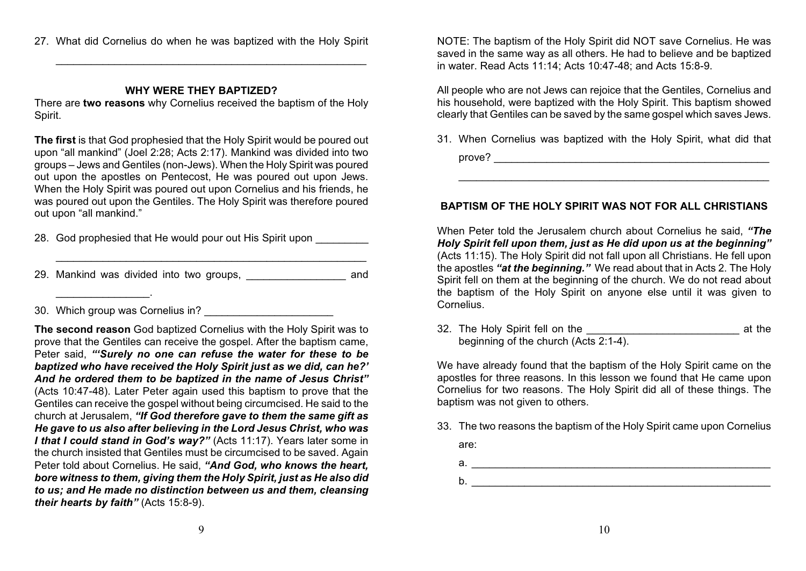27. What did Cornelius do when he was baptized with the Holy Spirit

 $\_$ 

#### **WHY WERE THEY BAPTIZED?**

There are **two reasons** why Cornelius received the baptism of the Holy Spirit.

**The first** is that God prophesied that the Holy Spirit would be poured out upon "all mankind" (Joel 2:28; Acts 2:17). Mankind was divided into two groups – Jews and Gentiles (non-Jews). When the Holy Spirit was poured out upon the apostles on Pentecost, He was poured out upon Jews. When the Holy Spirit was poured out upon Cornelius and his friends, he was poured out upon the Gentiles. The Holy Spirit was therefore poured out upon "all mankind."

- 28. God prophesied that He would pour out His Spirit upon
- 29. Mankind was divided into two groups, \_\_\_\_\_\_\_\_\_\_\_\_\_\_\_\_\_ and

 $\_$ 

30. Which group was Cornelius in?

 $\overline{\phantom{a}}$  . The set of the set of the set of the set of the set of the set of the set of the set of the set of the set of the set of the set of the set of the set of the set of the set of the set of the set of the set o

**The second reason** God baptized Cornelius with the Holy Spirit was to prove that the Gentiles can receive the gospel. After the baptism came, Peter said, *"'Surely no one can refuse the water for these to be baptized who have received the Holy Spirit just as we did, can he?' And he ordered them to be baptized in the name of Jesus Christ"* (Acts 10:47-48). Later Peter again used this baptism to prove that the Gentiles can receive the gospel without being circumcised. He said to the church at Jerusalem, *"If God therefore gave to them the same gift as He gave to us also after believing in the Lord Jesus Christ, who was I that I could stand in God's way?"* (Acts 11:17). Years later some in the church insisted that Gentiles must be circumcised to be saved. Again Peter told about Cornelius. He said, *"And God, who knows the heart, bore witness to them, giving them the Holy Spirit, just as He also did to us; and He made no distinction between us and them, cleansing their hearts by faith"* (Acts 15:8-9).

NOTE: The baptism of the Holy Spirit did NOT save Cornelius. He was saved in the same way as all others. He had to believe and be baptized in water. Read Acts 11:14; Acts 10:47-48; and Acts 15:8-9.

All people who are not Jews can rejoice that the Gentiles, Cornelius and his household, were baptized with the Holy Spirit. This baptism showed clearly that Gentiles can be saved by the same gospel which saves Jews.

31. When Cornelius was baptized with the Holy Spirit, what did that prove? \_\_\_\_\_\_\_\_\_\_\_\_\_\_\_\_\_\_\_\_\_\_\_\_\_\_\_\_\_\_\_\_\_\_\_\_\_\_\_\_\_\_\_\_\_\_\_

\_\_\_\_\_\_\_\_\_\_\_\_\_\_\_\_\_\_\_\_\_\_\_\_\_\_\_\_\_\_\_\_\_\_\_\_\_\_\_\_\_\_\_\_\_\_\_\_\_\_\_\_\_

#### **BAPTISM OF THE HOLY SPIRIT WAS NOT FOR ALL CHRISTIANS**

When Peter told the Jerusalem church about Cornelius he said, *"The Holy Spirit fell upon them, just as He did upon us at the beginning"* (Acts 11:15). The Holy Spirit did not fall upon all Christians. He fell upon the apostles *"at the beginning."* We read about that in Acts 2. The Holy Spirit fell on them at the beginning of the church. We do not read about the baptism of the Holy Spirit on anyone else until it was given to Cornelius.

32. The Holy Spirit fell on the **Example 2018** at the beginning of the church (Acts 2:1-4).

We have already found that the baptism of the Holy Spirit came on the apostles for three reasons. In this lesson we found that He came upon Cornelius for two reasons. The Holy Spirit did all of these things. The baptism was not given to others.

- 33. The two reasons the baptism of the Holy Spirit came upon Cornelius
	- are:
	- a. \_\_\_\_\_\_\_\_\_\_\_\_\_\_\_\_\_\_\_\_\_\_\_\_\_\_\_\_\_\_\_\_\_\_\_\_\_\_\_\_\_\_\_\_\_\_\_\_\_\_\_
	- b. \_\_\_\_\_\_\_\_\_\_\_\_\_\_\_\_\_\_\_\_\_\_\_\_\_\_\_\_\_\_\_\_\_\_\_\_\_\_\_\_\_\_\_\_\_\_\_\_\_\_\_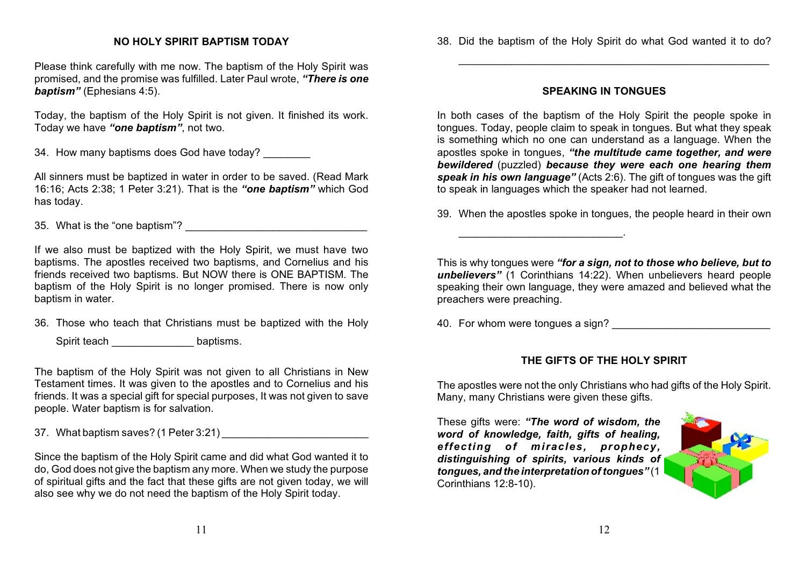#### **NO HOLY SPIRIT BAPTISM TODAY**

Please think carefully with me now. The baptism of the Holy Spirit was promised, and the promise was fulfilled. Later Paul wrote, *"There is one baptism"* (Ephesians 4:5).

Today, the baptism of the Holy Spirit is not given. It finished its work. Today we have *"one baptism"*, not two.

34. How many baptisms does God have today?

All sinners must be baptized in water in order to be saved. (Read Mark 16:16; Acts 2:38; 1 Peter 3:21). That is the *"one baptism"* which God has today.

35. What is the "one baptism"?

If we also must be baptized with the Holy Spirit, we must have two baptisms. The apostles received two baptisms, and Cornelius and his friends received two baptisms. But NOW there is ONE BAPTISM. The baptism of the Holy Spirit is no longer promised. There is now only baptism in water.

36. Those who teach that Christians must be baptized with the Holy

Spirit teach \_\_\_\_\_\_\_\_\_\_\_\_\_\_ baptisms.

The baptism of the Holy Spirit was not given to all Christians in New Testament times. It was given to the apostles and to Cornelius and his friends. It was a special gift for special purposes, It was not given to save people. Water baptism is for salvation.

37. What baptism saves? (1 Peter 3:21) \_\_\_\_\_\_\_\_\_\_\_\_\_\_\_\_\_\_\_\_\_\_\_\_\_

Since the baptism of the Holy Spirit came and did what God wanted it to do, God does not give the baptism any more. When we study the purpose of spiritual gifts and the fact that these gifts are not given today, we will also see why we do not need the baptism of the Holy Spirit today.

 $\frac{1}{2}$  ,  $\frac{1}{2}$  ,  $\frac{1}{2}$  ,  $\frac{1}{2}$  ,  $\frac{1}{2}$  ,  $\frac{1}{2}$  ,  $\frac{1}{2}$  ,  $\frac{1}{2}$  ,  $\frac{1}{2}$  ,  $\frac{1}{2}$  ,  $\frac{1}{2}$  ,  $\frac{1}{2}$  ,  $\frac{1}{2}$  ,  $\frac{1}{2}$  ,  $\frac{1}{2}$  ,  $\frac{1}{2}$  ,  $\frac{1}{2}$  ,  $\frac{1}{2}$  ,  $\frac{1$ 

#### **SPEAKING IN TONGUES**

In both cases of the baptism of the Holy Spirit the people spoke in tongues. Today, people claim to speak in tongues. But what they speak is something which no one can understand as a language. When the apostles spoke in tongues, *"the multitude came together, and were bewildered* (puzzled) *because they were each one hearing them speak in his own language"* (Acts 2:6). The gift of tongues was the gift to speak in languages which the speaker had not learned.

39. When the apostles spoke in tongues, the people heard in their own

This is why tongues were *"for a sign, not to those who believe, but to unbelievers"* (1 Corinthians 14:22). When unbelievers heard people speaking their own language, they were amazed and believed what the preachers were preaching.

40. For whom were tongues a sign?

\_\_\_\_\_\_\_\_\_\_\_\_\_\_\_\_\_\_\_\_\_\_\_\_\_\_\_\_.

# **THE GIFTS OF THE HOLY SPIRIT**

The apostles were not the only Christians who had gifts of the Holy Spirit. Many, many Christians were given these gifts.

These gifts were: *"The word of wisdom, the word of knowledge, faith, gifts of healing, effecting of miracles, prophecy, distinguishing of spirits, various kinds of tongues, and the interpretation of tongues"* (1 Corinthians 12:8-10).

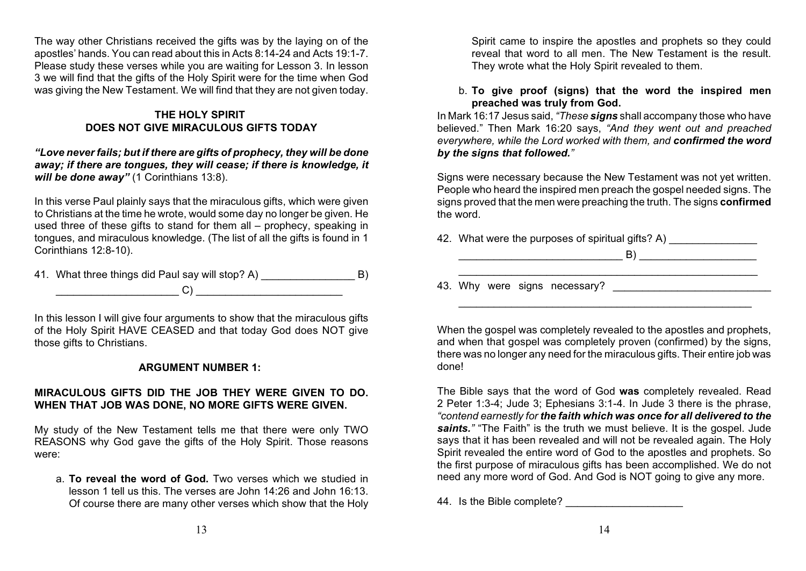The way other Christians received the gifts was by the laying on of the apostles' hands. You can read about this in Acts 8:14-24 and Acts 19:1-7. Please study these verses while you are waiting for Lesson 3. In lesson 3 we will find that the gifts of the Holy Spirit were for the time when God was giving the New Testament. We will find that they are not given today.

### **THE HOLY SPIRIT DOES NOT GIVE MIRACULOUS GIFTS TODAY**

#### *"Love never fails; but if there are gifts of prophecy, they will be done away; if there are tongues, they will cease; if there is knowledge, it* will be done away" (1 Corinthians 13:8).

In this verse Paul plainly says that the miraculous gifts, which were given to Christians at the time he wrote, would some day no longer be given. He used three of these gifts to stand for them all – prophecy, speaking in tongues, and miraculous knowledge. (The list of all the gifts is found in 1 Corinthians 12:8-10).

41. What three things did Paul say will stop? A) B) \_\_\_\_\_\_\_\_\_\_\_\_\_\_\_\_\_\_\_\_\_ C) \_\_\_\_\_\_\_\_\_\_\_\_\_\_\_\_\_\_\_\_\_\_\_\_\_

In this lesson I will give four arguments to show that the miraculous gifts of the Holy Spirit HAVE CEASED and that today God does NOT give those gifts to Christians.

#### **ARGUMENT NUMBER 1:**

# **MIRACULOUS GIFTS DID THE JOB THEY WERE GIVEN TO DO. WHEN THAT JOB WAS DONE, NO MORE GIFTS WERE GIVEN.**

My study of the New Testament tells me that there were only TWO REASONS why God gave the gifts of the Holy Spirit. Those reasons were:

a. **To reveal the word of God.** Two verses which we studied in lesson 1 tell us this. The verses are John 14:26 and John 16:13. Of course there are many other verses which show that the Holy

Spirit came to inspire the apostles and prophets so they could reveal that word to all men. The New Testament is the result. They wrote what the Holy Spirit revealed to them.

#### b. **To give proof (signs) that the word the inspired men preached was truly from God.**

In Mark 16:17 Jesus said, *"These signs* shall accompany those who have believed." Then Mark 16:20 says, *"And they went out and preached everywhere, while the Lord worked with them, and confirmed the word by the signs that followed."*

Signs were necessary because the New Testament was not yet written. People who heard the inspired men preach the gospel needed signs. The signs proved that the men were preaching the truth. The signs **confirmed** the word.

\_\_\_\_\_\_\_\_\_\_\_\_\_\_\_\_\_\_\_\_\_\_\_\_\_\_\_\_\_\_\_\_\_\_\_\_\_\_\_\_\_\_\_\_\_\_\_\_\_\_\_

42. What were the purposes of spiritual gifts? A)

 $\Box$ 

43. Why were signs necessary?

When the gospel was completely revealed to the apostles and prophets. and when that gospel was completely proven (confirmed) by the signs, there was no longer any need for the miraculous gifts. Their entire job was done!

\_\_\_\_\_\_\_\_\_\_\_\_\_\_\_\_\_\_\_\_\_\_\_\_\_\_\_\_\_\_\_\_\_\_\_\_\_\_\_\_\_\_\_\_\_\_\_\_\_\_

The Bible says that the word of God **was** completely revealed. Read 2 Peter 1:3-4; Jude 3; Ephesians 3:1-4. In Jude 3 there is the phrase, *"contend earnestly for the faith which was once for all delivered to the saints."* "The Faith" is the truth we must believe. It is the gospel. Jude says that it has been revealed and will not be revealed again. The Holy Spirit revealed the entire word of God to the apostles and prophets. So the first purpose of miraculous gifts has been accomplished. We do not need any more word of God. And God is NOT going to give any more.

44. Is the Bible complete?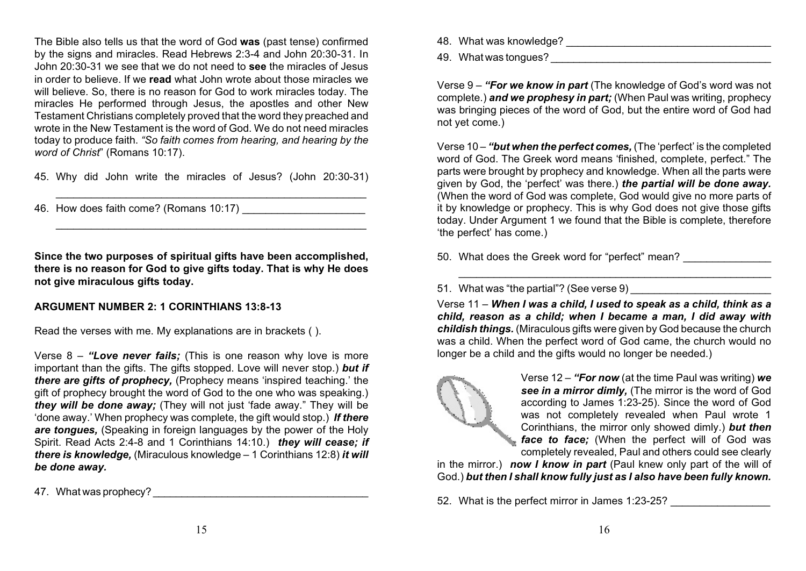The Bible also tells us that the word of God **was** (past tense) confirmed by the signs and miracles. Read Hebrews 2:3-4 and John 20:30-31. In John 20:30-31 we see that we do not need to **see** the miracles of Jesus in order to believe. If we **read** what John wrote about those miracles we will believe. So, there is no reason for God to work miracles today. The miracles He performed through Jesus, the apostles and other New Testament Christians completely proved that the word they preached and wrote in the New Testament is the word of God. We do not need miracles today to produce faith. *"So faith comes from hearing, and hearing by the word of Christ*" (Romans 10:17).

45. Why did John write the miracles of Jesus? (John 20:30-31)

 $\_$ 

 $\_$ 

46. How does faith come? (Romans 10:17)

**Since the two purposes of spiritual gifts have been accomplished, there is no reason for God to give gifts today. That is why He does not give miraculous gifts today.**

#### **ARGUMENT NUMBER 2: 1 CORINTHIANS 13:8-13**

Read the verses with me. My explanations are in brackets ( ).

Verse 8 – *"Love never fails;* (This is one reason why love is more important than the gifts. The gifts stopped. Love will never stop.) *but if there are gifts of prophecy,* (Prophecy means 'inspired teaching.' the gift of prophecy brought the word of God to the one who was speaking.) *they will be done away;* (They will not just 'fade away." They will be 'done away.' When prophecy was complete, the gift would stop.) *If there are tongues,* (Speaking in foreign languages by the power of the Holy Spirit. Read Acts 2:4-8 and 1 Corinthians 14:10.) *they will cease; if there is knowledge,* (Miraculous knowledge – 1 Corinthians 12:8) *it will be done away.*

47. What was prophecy?

48. What was knowledge? **Example 20** and the set of the set of the set of the set of the set of the set of the set of the set of the set of the set of the set of the set of the set of the set of the set of the set of the s

49. What was tongues?

Verse 9 – *"For we know in part* (The knowledge of God's word was not complete.) *and we prophesy in part;* (When Paul was writing, prophecy was bringing pieces of the word of God, but the entire word of God had not yet come.)

Verse 10 – *"but when the perfect comes,* (The 'perfect' is the completed word of God. The Greek word means 'finished, complete, perfect." The parts were brought by prophecy and knowledge. When all the parts were given by God, the 'perfect' was there.) *the partial will be done away.* (When the word of God was complete, God would give no more parts of it by knowledge or prophecy. This is why God does not give those gifts today. Under Argument 1 we found that the Bible is complete, therefore 'the perfect' has come.)

50. What does the Greek word for "perfect" mean?

51. What was "the partial"? (See verse 9)

Verse 11 – *When I was a child, I used to speak as a child, think as a child, reason as a child; when I became a man, I did away with childish things.* (Miraculous gifts were given by God because the church was a child. When the perfect word of God came, the church would no longer be a child and the gifts would no longer be needed.)

\_\_\_\_\_\_\_\_\_\_\_\_\_\_\_\_\_\_\_\_\_\_\_\_\_\_\_\_\_\_\_\_\_\_\_\_\_\_\_\_\_\_\_\_\_\_\_\_\_\_\_\_\_\_



Verse 12 – *"For now* (at the time Paul was writing) *we see in a mirror dimly,* (The mirror is the word of God according to James 1:23-25). Since the word of God was not completely revealed when Paul wrote 1 Corinthians, the mirror only showed dimly.) *but then face to face;* (When the perfect will of God was completely revealed, Paul and others could see clearly

in the mirror.) *now I know in part* (Paul knew only part of the will of God.) *but then I shall know fully just as I also have been fully known.*

52. What is the perfect mirror in James 1:23-25?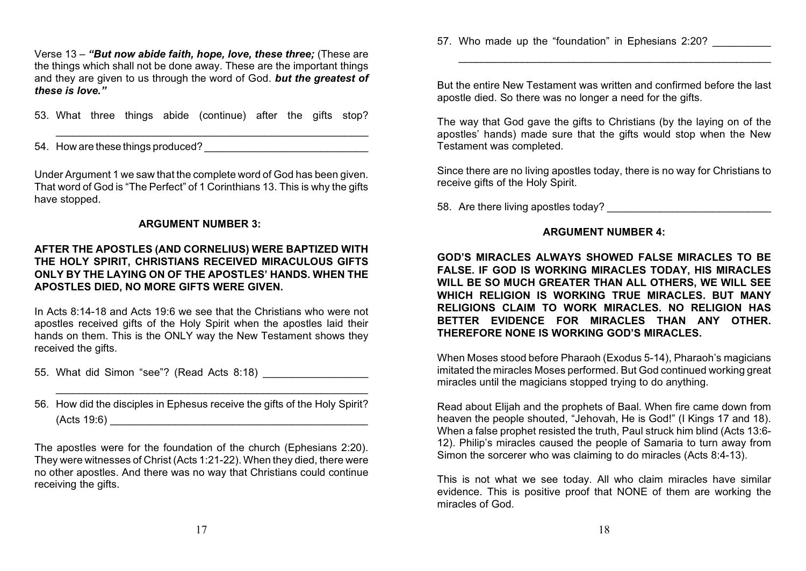Verse 13 – *"But now abide faith, hope, love, these three;* (These are the things which shall not be done away. These are the important things and they are given to us through the word of God. *but the greatest of these is love."*

53. What three things abide (continue) after the gifts stop?

\_\_\_\_\_\_\_\_\_\_\_\_\_\_\_\_\_\_\_\_\_\_\_\_\_\_\_\_\_\_\_\_\_\_\_\_\_\_\_\_\_\_\_\_\_\_\_\_\_\_\_\_\_\_

54. How are these things produced?

Under Argument 1 we saw that the complete word of God has been given. That word of God is "The Perfect" of 1 Corinthians 13. This is why the gifts have stopped.

#### **ARGUMENT NUMBER 3:**

#### **AFTER THE APOSTLES (AND CORNELIUS) WERE BAPTIZED WITH THE HOLY SPIRIT, CHRISTIANS RECEIVED MIRACULOUS GIFTS ONLY BY THE LAYING ON OF THE APOSTLES' HANDS. WHEN THE APOSTLES DIED, NO MORE GIFTS WERE GIVEN.**

In Acts 8:14-18 and Acts 19:6 we see that the Christians who were not apostles received gifts of the Holy Spirit when the apostles laid their hands on them. This is the ONLY way the New Testament shows they received the gifts.

55. What did Simon "see"? (Read Acts 8:18)

56. How did the disciples in Ephesus receive the gifts of the Holy Spirit?  $(Acts 19:6)$ 

\_\_\_\_\_\_\_\_\_\_\_\_\_\_\_\_\_\_\_\_\_\_\_\_\_\_\_\_\_\_\_\_\_\_\_\_\_\_\_\_\_\_\_\_\_\_\_\_\_\_\_\_\_\_

The apostles were for the foundation of the church (Ephesians 2:20). They were witnesses of Christ (Acts 1:21-22). When they died, there were no other apostles. And there was no way that Christians could continue receiving the gifts.

57. Who made up the "foundation" in Ephesians 2:20?

But the entire New Testament was written and confirmed before the last apostle died. So there was no longer a need for the gifts.

\_\_\_\_\_\_\_\_\_\_\_\_\_\_\_\_\_\_\_\_\_\_\_\_\_\_\_\_\_\_\_\_\_\_\_\_\_\_\_\_\_\_\_\_\_\_\_\_\_\_\_\_\_\_

The way that God gave the gifts to Christians (by the laying on of the apostles' hands) made sure that the gifts would stop when the New Testament was completed.

Since there are no living apostles today, there is no way for Christians to receive gifts of the Holy Spirit.

58. Are there living apostles today?

#### **ARGUMENT NUMBER 4:**

#### **GOD'S MIRACLES ALWAYS SHOWED FALSE MIRACLES TO BE FALSE. IF GOD IS WORKING MIRACLES TODAY, HIS MIRACLES WILL BE SO MUCH GREATER THAN ALL OTHERS, WE WILL SEE WHICH RELIGION IS WORKING TRUE MIRACLES. BUT MANY RELIGIONS CLAIM TO WORK MIRACLES. NO RELIGION HAS BETTER EVIDENCE FOR MIRACLES THAN ANY OTHER. THEREFORE NONE IS WORKING GOD'S MIRACLES.**

When Moses stood before Pharaoh (Exodus 5-14), Pharaoh's magicians imitated the miracles Moses performed. But God continued working great miracles until the magicians stopped trying to do anything.

Read about Elijah and the prophets of Baal. When fire came down from heaven the people shouted, "Jehovah, He is God!" (I Kings 17 and 18). When a false prophet resisted the truth, Paul struck him blind (Acts 13:6- 12). Philip's miracles caused the people of Samaria to turn away from Simon the sorcerer who was claiming to do miracles (Acts 8:4-13).

This is not what we see today. All who claim miracles have similar evidence. This is positive proof that NONE of them are working the miracles of God.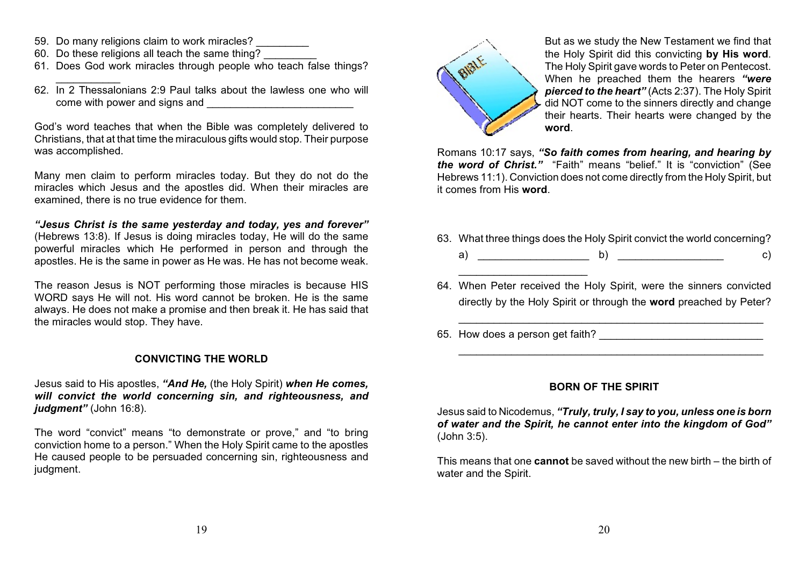59. Do many religions claim to work miracles?

 $\overline{\phantom{a}}$ 

- 60. Do these religions all teach the same thing?
- 61. Does God work miracles through people who teach false things?
- 62. In 2 Thessalonians 2:9 Paul talks about the lawless one who will come with power and signs and

God's word teaches that when the Bible was completely delivered to Christians, that at that time the miraculous gifts would stop. Their purpose was accomplished.

Many men claim to perform miracles today. But they do not do the miracles which Jesus and the apostles did. When their miracles are examined, there is no true evidence for them.

*"Jesus Christ is the same yesterday and today, yes and forever"* (Hebrews 13:8). If Jesus is doing miracles today, He will do the same powerful miracles which He performed in person and through the apostles. He is the same in power as He was. He has not become weak.

The reason Jesus is NOT performing those miracles is because HIS WORD says He will not. His word cannot be broken. He is the same always. He does not make a promise and then break it. He has said that the miracles would stop. They have.

#### **CONVICTING THE WORLD**

Jesus said to His apostles, *"And He,* (the Holy Spirit) *when He comes, will convict the world concerning sin, and righteousness, and judgment"* (John 16:8).

The word "convict" means "to demonstrate or prove," and "to bring conviction home to a person." When the Holy Spirit came to the apostles He caused people to be persuaded concerning sin, righteousness and judgment.



But as we study the New Testament we find that the Holy Spirit did this convicting **by His word**. The Holy Spirit gave words to Peter on Pentecost. When he preached them the hearers *"were pierced to the heart"* (Acts 2:37). The Holy Spirit did NOT come to the sinners directly and change their hearts. Their hearts were changed by the **word**.

Romans 10:17 says, *"So faith comes from hearing, and hearing by the word of Christ."* "Faith" means "belief." It is "conviction" (See Hebrews 11:1). Conviction does not come directly from the Holy Spirit, but it comes from His **word**.

- 63. What three things does the Holy Spirit convict the world concerning? a) b)  $\qquad$  c)
- 64. When Peter received the Holy Spirit, were the sinners convicted directly by the Holy Spirit or through the **word** preached by Peter?

\_\_\_\_\_\_\_\_\_\_\_\_\_\_\_\_\_\_\_\_\_\_\_\_\_\_\_\_\_\_\_\_\_\_\_\_\_\_\_\_\_\_\_\_\_\_\_\_\_\_\_\_

\_\_\_\_\_\_\_\_\_\_\_\_\_\_\_\_\_\_\_\_\_\_\_\_\_\_\_\_\_\_\_\_\_\_\_\_\_\_\_\_\_\_\_\_\_\_\_\_\_\_\_\_

65. How does a person get faith?

 $\frac{1}{2}$  ,  $\frac{1}{2}$  ,  $\frac{1}{2}$  ,  $\frac{1}{2}$  ,  $\frac{1}{2}$  ,  $\frac{1}{2}$  ,  $\frac{1}{2}$  ,  $\frac{1}{2}$  ,  $\frac{1}{2}$  ,  $\frac{1}{2}$  ,  $\frac{1}{2}$  ,  $\frac{1}{2}$  ,  $\frac{1}{2}$  ,  $\frac{1}{2}$  ,  $\frac{1}{2}$  ,  $\frac{1}{2}$  ,  $\frac{1}{2}$  ,  $\frac{1}{2}$  ,  $\frac{1$ 

#### **BORN OF THE SPIRIT**

Jesus said to Nicodemus, *"Truly, truly, I say to you, unless one is born of water and the Spirit, he cannot enter into the kingdom of God"* (John 3:5).

This means that one **cannot** be saved without the new birth – the birth of water and the Spirit.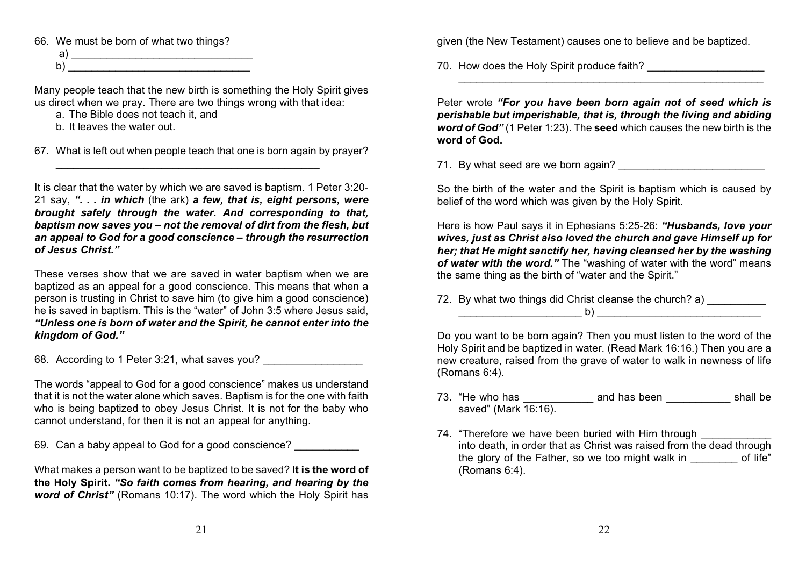66. We must be born of what two things?

a)  $\overline{\phantom{a}}$  $b)$ 

Many people teach that the new birth is something the Holy Spirit gives us direct when we pray. There are two things wrong with that idea:

a. The Bible does not teach it, and

b. It leaves the water out.

67. What is left out when people teach that one is born again by prayer?

\_\_\_\_\_\_\_\_\_\_\_\_\_\_\_\_\_\_\_\_\_\_\_\_\_\_\_\_\_\_\_\_\_\_\_\_\_\_\_\_\_\_\_\_\_

It is clear that the water by which we are saved is baptism. 1 Peter 3:20- 21 say, *". . . in which* (the ark) *a few, that is, eight persons, were brought safely through the water. And corresponding to that, baptism now saves you – not the removal of dirt from the flesh, but an appeal to God for a good conscience – through the resurrection of Jesus Christ."*

These verses show that we are saved in water baptism when we are baptized as an appeal for a good conscience. This means that when a person is trusting in Christ to save him (to give him a good conscience) he is saved in baptism. This is the "water" of John 3:5 where Jesus said, *"Unless one is born of water and the Spirit, he cannot enter into the kingdom of God."*

68. According to 1 Peter 3:21, what saves you?

The words "appeal to God for a good conscience" makes us understand that it is not the water alone which saves. Baptism is for the one with faith who is being baptized to obey Jesus Christ. It is not for the baby who cannot understand, for then it is not an appeal for anything.

69. Can a baby appeal to God for a good conscience?

What makes a person want to be baptized to be saved? **It is the word of the Holy Spirit.** *"So faith comes from hearing, and hearing by the word of Christ"* (Romans 10:17). The word which the Holy Spirit has

given (the New Testament) causes one to believe and be baptized.

70. How does the Holy Spirit produce faith?

Peter wrote *"For you have been born again not of seed which is perishable but imperishable, that is, through the living and abiding word of God"* (1 Peter 1:23). The **seed** which causes the new birth is the **word of God.**

 $\_$  , and the set of the set of the set of the set of the set of the set of the set of the set of the set of the set of the set of the set of the set of the set of the set of the set of the set of the set of the set of th

71. By what seed are we born again?

So the birth of the water and the Spirit is baptism which is caused by belief of the word which was given by the Holy Spirit.

Here is how Paul says it in Ephesians 5:25-26: *"Husbands, love your wives, just as Christ also loved the church and gave Himself up for her; that He might sanctify her, having cleansed her by the washing of water with the word."* The "washing of water with the word" means the same thing as the birth of "water and the Spirit."

72. By what two things did Christ cleanse the church? a)  $b)$ 

Do you want to be born again? Then you must listen to the word of the Holy Spirit and be baptized in water. (Read Mark 16:16.) Then you are a new creature, raised from the grave of water to walk in newness of life (Romans 6:4).

- 73. "He who has \_\_\_\_\_\_\_\_\_\_\_\_ and has been \_\_\_\_\_\_\_\_\_\_\_ shall be saved" (Mark 16:16).
- 74. "Therefore we have been buried with Him through into death, in order that as Christ was raised from the dead through the glory of the Father, so we too might walk in of life" (Romans 6:4).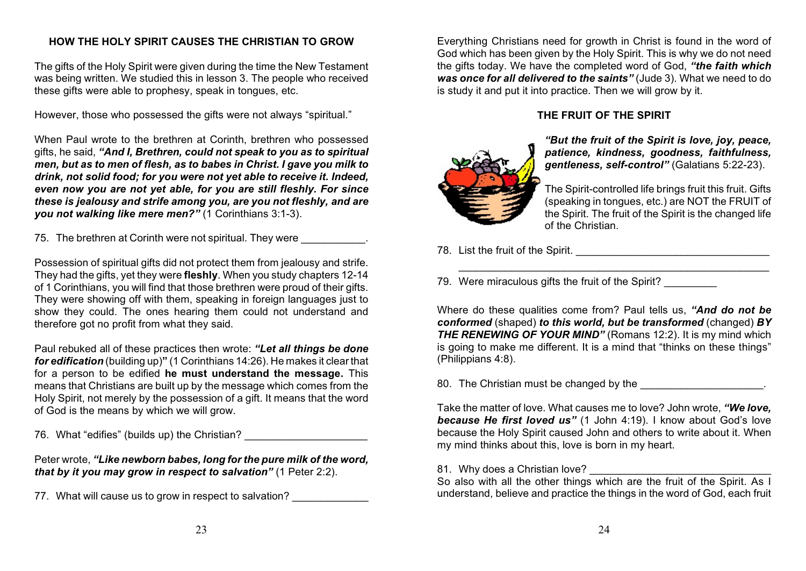# **HOW THE HOLY SPIRIT CAUSES THE CHRISTIAN TO GROW**

The gifts of the Holy Spirit were given during the time the New Testament was being written. We studied this in lesson 3. The people who received these gifts were able to prophesy, speak in tongues, etc.

However, those who possessed the gifts were not always "spiritual."

When Paul wrote to the brethren at Corinth, brethren who possessed gifts, he said, *"And I, Brethren, could not speak to you as to spiritual men, but as to men of flesh, as to babes in Christ. I gave you milk to drink, not solid food; for you were not yet able to receive it. Indeed, even now you are not yet able, for you are still fleshly. For since these is jealousy and strife among you, are you not fleshly, and are you not walking like mere men?"* (1 Corinthians 3:1-3).

75. The brethren at Corinth were not spiritual. They were

Possession of spiritual gifts did not protect them from jealousy and strife. They had the gifts, yet they were **fleshly**. When you study chapters 12-14 of 1 Corinthians, you will find that those brethren were proud of their gifts. They were showing off with them, speaking in foreign languages just to show they could. The ones hearing them could not understand and therefore got no profit from what they said.

Paul rebuked all of these practices then wrote: *"Let all things be done for edification* (building up)**"** (1 Corinthians 14:26). He makes it clear that for a person to be edified **he must understand the message.** This means that Christians are built up by the message which comes from the Holy Spirit, not merely by the possession of a gift. It means that the word of God is the means by which we will grow.

76. What "edifies" (builds up) the Christian?

Peter wrote, *"Like newborn babes, long for the pure milk of the word, that by it you may grow in respect to salvation"* (1 Peter 2:2).

77. What will cause us to grow in respect to salvation?

Everything Christians need for growth in Christ is found in the word of God which has been given by the Holy Spirit. This is why we do not need the gifts today. We have the completed word of God, *"the faith which was once for all delivered to the saints"* (Jude 3). What we need to do is study it and put it into practice. Then we will grow by it.

#### **THE FRUIT OF THE SPIRIT**



*"But the fruit of the Spirit is love, joy, peace, patience, kindness, goodness, faithfulness, gentleness, self-control"* (Galatians 5:22-23).

The Spirit-controlled life brings fruit this fruit. Gifts (speaking in tongues, etc.) are NOT the FRUIT of the Spirit. The fruit of the Spirit is the changed life of the Christian.

78. List the fruit of the Spirit.

79. Were miraculous gifts the fruit of the Spirit?

Where do these qualities come from? Paul tells us, *"And do not be conformed* (shaped) *to this world, but be transformed* (changed) *BY THE RENEWING OF YOUR MIND"* (Romans 12:2). It is my mind which is going to make me different. It is a mind that "thinks on these things" (Philippians 4:8).

\_\_\_\_\_\_\_\_\_\_\_\_\_\_\_\_\_\_\_\_\_\_\_\_\_\_\_\_\_\_\_\_\_\_\_\_\_\_\_\_\_\_\_\_\_\_\_\_\_\_\_\_\_

80. The Christian must be changed by the **EXALL** 

Take the matter of love. What causes me to love? John wrote, *"We love, because He first loved us"* (1 John 4:19). I know about God's love because the Holy Spirit caused John and others to write about it. When my mind thinks about this, love is born in my heart.

81. Why does a Christian love? \_\_\_\_\_\_\_\_\_\_\_\_\_\_\_\_\_\_\_\_\_\_\_\_\_\_\_\_\_\_\_

So also with all the other things which are the fruit of the Spirit. As I understand, believe and practice the things in the word of God, each fruit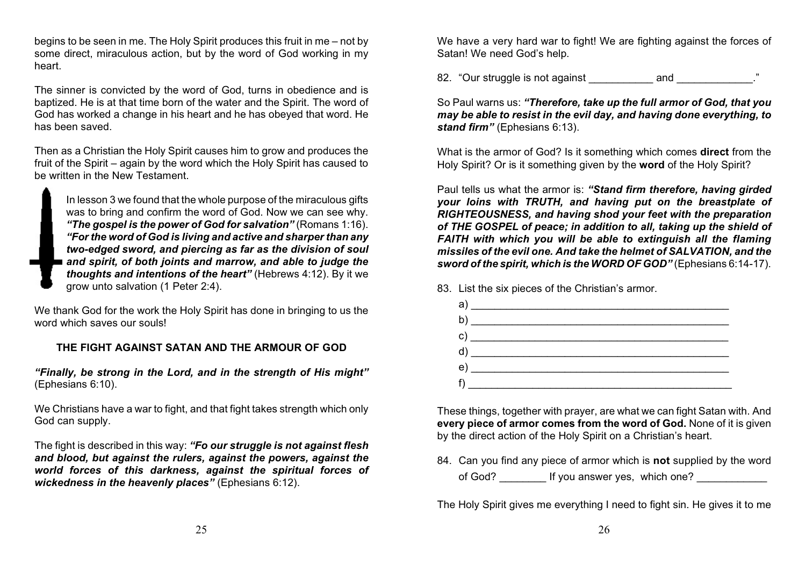begins to be seen in me. The Holy Spirit produces this fruit in me – not by some direct, miraculous action, but by the word of God working in my heart.

The sinner is convicted by the word of God, turns in obedience and is baptized. He is at that time born of the water and the Spirit. The word of God has worked a change in his heart and he has obeyed that word. He has been saved.

Then as a Christian the Holy Spirit causes him to grow and produces the fruit of the Spirit – again by the word which the Holy Spirit has caused to be written in the New Testament.

In lesson 3 we found that the whole purpose of the miraculous gifts was to bring and confirm the word of God. Now we can see why. *"The gospel is the power of God for salvation"* (Romans 1:16). *"For the word of God is living and active and sharper than any two-edged sword, and piercing as far as the division of soul and spirit, of both joints and marrow, and able to judge the thoughts and intentions of the heart"* (Hebrews 4:12). By it we grow unto salvation (1 Peter 2:4).

We thank God for the work the Holy Spirit has done in bringing to us the word which saves our souls!

#### **THE FIGHT AGAINST SATAN AND THE ARMOUR OF GOD**

*"Finally, be strong in the Lord, and in the strength of His might"* (Ephesians 6:10).

We Christians have a war to fight, and that fight takes strength which only God can supply.

The fight is described in this way: *"Fo our struggle is not against flesh and blood, but against the rulers, against the powers, against the world forces of this darkness, against the spiritual forces of wickedness in the heavenly places"* (Ephesians 6:12).

We have a very hard war to fight! We are fighting against the forces of Satan! We need God's help.

82. "Our struggle is not against and and  $\overline{\phantom{a}}$ 

So Paul warns us: *"Therefore, take up the full armor of God, that you may be able to resist in the evil day, and having done everything, to stand firm"* (Ephesians 6:13).

What is the armor of God? Is it something which comes **direct** from the Holy Spirit? Or is it something given by the **word** of the Holy Spirit?

Paul tells us what the armor is: *"Stand firm therefore, having girded your loins with TRUTH, and having put on the breastplate of RIGHTEOUSNESS, and having shod your feet with the preparation of THE GOSPEL of peace; in addition to all, taking up the shield of FAITH with which you will be able to extinguish all the flaming missiles of the evil one. And take the helmet of SALVATION, and the sword of the spirit, which is the WORD OF GOD"* (Ephesians 6:14-17).

83. List the six pieces of the Christian's armor.

| a) |                                                   |
|----|---------------------------------------------------|
|    |                                                   |
|    |                                                   |
|    | $\left( \begin{array}{ccc} 0 \end{array} \right)$ |
|    |                                                   |
|    |                                                   |

These things, together with prayer, are what we can fight Satan with. And **every piece of armor comes from the word of God.** None of it is given by the direct action of the Holy Spirit on a Christian's heart.

84. Can you find any piece of armor which is **not** supplied by the word of God? Fig. 3. If you answer yes, which one?

The Holy Spirit gives me everything I need to fight sin. He gives it to me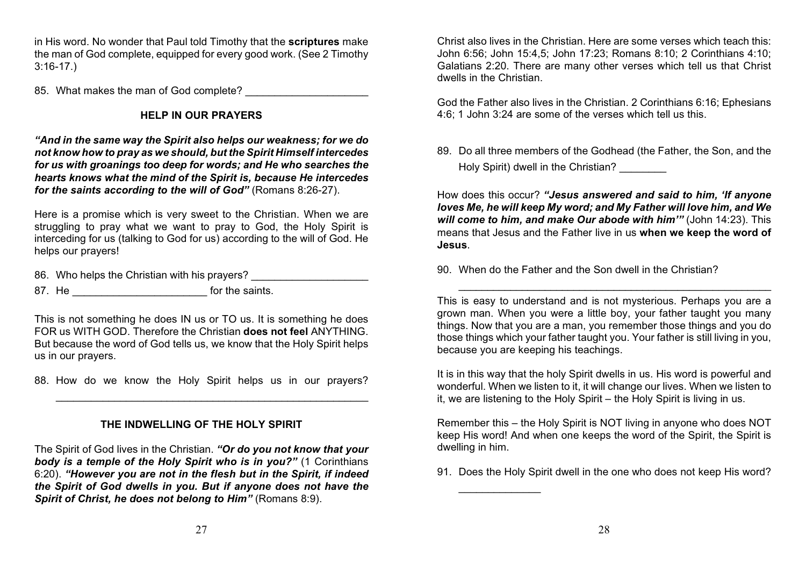in His word. No wonder that Paul told Timothy that the **scriptures** make the man of God complete, equipped for every good work. (See 2 Timothy 3:16-17.)

85. What makes the man of God complete?

# **HELP IN OUR PRAYERS**

*"And in the same way the Spirit also helps our weakness; for we do not know how to pray as we should, but the Spirit Himself intercedes for us with groanings too deep for words; and He who searches the hearts knows what the mind of the Spirit is, because He intercedes for the saints according to the will of God"* (Romans 8:26-27).

Here is a promise which is very sweet to the Christian. When we are struggling to pray what we want to pray to God, the Holy Spirit is interceding for us (talking to God for us) according to the will of God. He helps our prayers!

86. Who helps the Christian with his prayers?

87. He \_\_\_\_\_\_\_\_\_\_\_\_\_\_\_\_\_\_\_\_\_\_\_\_\_\_\_\_\_\_\_\_\_ for the saints.

This is not something he does IN us or TO us. It is something he does FOR us WITH GOD. Therefore the Christian **does not feel** ANYTHING. But because the word of God tells us, we know that the Holy Spirit helps us in our prayers.

88. How do we know the Holy Spirit helps us in our prayers?

\_\_\_\_\_\_\_\_\_\_\_\_\_\_\_\_\_\_\_\_\_\_\_\_\_\_\_\_\_\_\_\_\_\_\_\_\_\_\_\_\_\_\_\_\_\_\_\_\_\_\_\_\_\_

# **THE INDWELLING OF THE HOLY SPIRIT**

The Spirit of God lives in the Christian. *"Or do you not know that your body is a temple of the Holy Spirit who is in you?"* (1 Corinthians 6:20). *"However you are not in the flesh but in the Spirit, if indeed the Spirit of God dwells in you. But if anyone does not have the Spirit of Christ, he does not belong to Him"* (Romans 8:9).

Christ also lives in the Christian. Here are some verses which teach this: John 6:56; John 15:4,5; John 17:23; Romans 8:10; 2 Corinthians 4:10; Galatians 2:20. There are many other verses which tell us that Christ dwells in the Christian.

God the Father also lives in the Christian. 2 Corinthians 6:16; Ephesians 4:6; 1 John 3:24 are some of the verses which tell us this.

89. Do all three members of the Godhead (the Father, the Son, and the Holy Spirit) dwell in the Christian?

How does this occur? *"Jesus answered and said to him, 'If anyone loves Me, he will keep My word; and My Father will love him, and We will come to him, and make Our abode with him'"* (John 14:23). This means that Jesus and the Father live in us **when we keep the word of Jesus**.

90. When do the Father and the Son dwell in the Christian?

This is easy to understand and is not mysterious. Perhaps you are a grown man. When you were a little boy, your father taught you many things. Now that you are a man, you remember those things and you do those things which your father taught you. Your father is still living in you, because you are keeping his teachings.

\_\_\_\_\_\_\_\_\_\_\_\_\_\_\_\_\_\_\_\_\_\_\_\_\_\_\_\_\_\_\_\_\_\_\_\_\_\_\_\_\_\_\_\_\_\_\_\_\_\_\_\_\_\_

It is in this way that the holy Spirit dwells in us. His word is powerful and wonderful. When we listen to it, it will change our lives. When we listen to it, we are listening to the Holy Spirit – the Holy Spirit is living in us.

Remember this – the Holy Spirit is NOT living in anyone who does NOT keep His word! And when one keeps the word of the Spirit, the Spirit is dwelling in him.

91. Does the Holy Spirit dwell in the one who does not keep His word?

 $\overline{\phantom{a}}$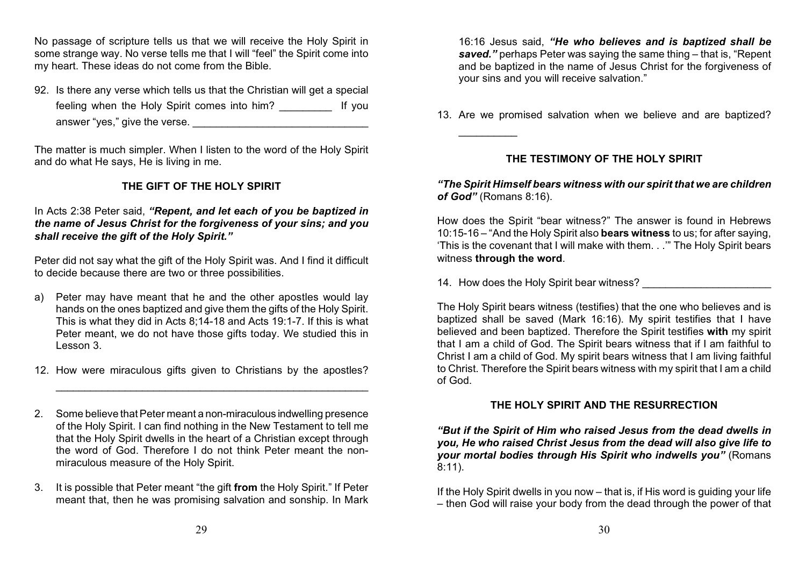No passage of scripture tells us that we will receive the Holy Spirit in some strange way. No verse tells me that I will "feel" the Spirit come into my heart. These ideas do not come from the Bible.

92. Is there any verse which tells us that the Christian will get a special feeling when the Holy Spirit comes into him? The lift you answer "yes," give the verse. \_\_\_\_\_\_\_\_\_\_\_\_\_\_\_\_\_\_\_\_\_\_\_\_\_\_\_\_\_\_

The matter is much simpler. When I listen to the word of the Holy Spirit and do what He says, He is living in me.

# **THE GIFT OF THE HOLY SPIRIT**

#### In Acts 2:38 Peter said, *"Repent, and let each of you be baptized in the name of Jesus Christ for the forgiveness of your sins; and you shall receive the gift of the Holy Spirit."*

Peter did not say what the gift of the Holy Spirit was. And I find it difficult to decide because there are two or three possibilities.

- a) Peter may have meant that he and the other apostles would lay hands on the ones baptized and give them the gifts of the Holy Spirit. This is what they did in Acts 8;14-18 and Acts 19:1-7. If this is what Peter meant, we do not have those gifts today. We studied this in Lesson 3.
- 12. How were miraculous gifts given to Christians by the apostles?

\_\_\_\_\_\_\_\_\_\_\_\_\_\_\_\_\_\_\_\_\_\_\_\_\_\_\_\_\_\_\_\_\_\_\_\_\_\_\_\_\_\_\_\_\_\_\_\_\_\_\_\_\_\_

- 2. Some believe that Peter meant a non-miraculous indwelling presence of the Holy Spirit. I can find nothing in the New Testament to tell me that the Holy Spirit dwells in the heart of a Christian except through the word of God. Therefore I do not think Peter meant the nonmiraculous measure of the Holy Spirit.
- 3. It is possible that Peter meant "the gift **from** the Holy Spirit." If Peter meant that, then he was promising salvation and sonship. In Mark

16:16 Jesus said, *"He who believes and is baptized shall be* **saved.**" perhaps Peter was saying the same thing – that is, "Repent" and be baptized in the name of Jesus Christ for the forgiveness of your sins and you will receive salvation."

13. Are we promised salvation when we believe and are baptized?

# **THE TESTIMONY OF THE HOLY SPIRIT**

#### *"The Spirit Himself bears witness with our spirit that we are children of God"* (Romans 8:16).

How does the Spirit "bear witness?" The answer is found in Hebrews 10:15-16 – "And the Holy Spirit also **bears witness** to us; for after saying, 'This is the covenant that I will make with them. . .'" The Holy Spirit bears witness **through the word**.

14. How does the Holy Spirit bear witness?

 $\overline{\phantom{a}}$  , where  $\overline{\phantom{a}}$ 

The Holy Spirit bears witness (testifies) that the one who believes and is baptized shall be saved (Mark 16:16). My spirit testifies that I have believed and been baptized. Therefore the Spirit testifies **with** my spirit that I am a child of God. The Spirit bears witness that if I am faithful to Christ I am a child of God. My spirit bears witness that I am living faithful to Christ. Therefore the Spirit bears witness with my spirit that I am a child of God.

# **THE HOLY SPIRIT AND THE RESURRECTION**

*"But if the Spirit of Him who raised Jesus from the dead dwells in you, He who raised Christ Jesus from the dead will also give life to your mortal bodies through His Spirit who indwells you"* (Romans 8:11).

If the Holy Spirit dwells in you now – that is, if His word is guiding your life – then God will raise your body from the dead through the power of that